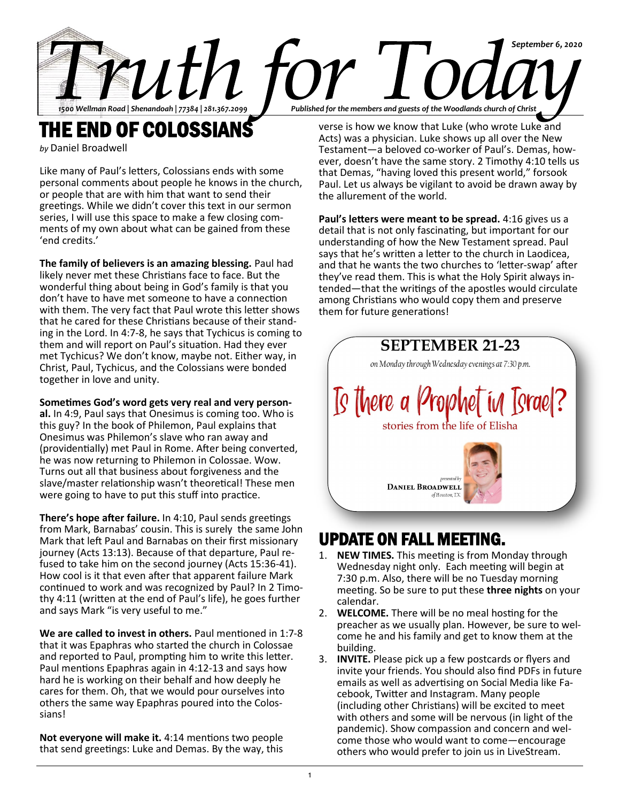

THE END OF COLOSSIANS

*by* Daniel Broadwell

Like many of Paul's letters, Colossians ends with some personal comments about people he knows in the church, or people that are with him that want to send their greetings. While we didn't cover this text in our sermon series, I will use this space to make a few closing comments of my own about what can be gained from these 'end credits.'

**The family of believers is an amazing blessing.** Paul had likely never met these Christians face to face. But the wonderful thing about being in God's family is that you don't have to have met someone to have a connection with them. The very fact that Paul wrote this letter shows that he cared for these Christians because of their standing in the Lord. In 4:7-8, he says that Tychicus is coming to them and will report on Paul's situation. Had they ever met Tychicus? We don't know, maybe not. Either way, in Christ, Paul, Tychicus, and the Colossians were bonded together in love and unity.

**Sometimes God's word gets very real and very person-**

**al.** In 4:9, Paul says that Onesimus is coming too. Who is this guy? In the book of Philemon, Paul explains that Onesimus was Philemon's slave who ran away and (providentially) met Paul in Rome. After being converted, he was now returning to Philemon in Colossae. Wow. Turns out all that business about forgiveness and the slave/master relationship wasn't theoretical! These men were going to have to put this stuff into practice.

**There's hope after failure.** In 4:10, Paul sends greetings from Mark, Barnabas' cousin. This is surely the same John Mark that left Paul and Barnabas on their first missionary journey (Acts 13:13). Because of that departure, Paul refused to take him on the second journey (Acts 15:36-41). How cool is it that even after that apparent failure Mark continued to work and was recognized by Paul? In 2 Timothy 4:11 (written at the end of Paul's life), he goes further and says Mark "is very useful to me."

**We are called to invest in others.** Paul mentioned in 1:7-8 that it was Epaphras who started the church in Colossae and reported to Paul, prompting him to write this letter. Paul mentions Epaphras again in 4:12-13 and says how hard he is working on their behalf and how deeply he cares for them. Oh, that we would pour ourselves into others the same way Epaphras poured into the Colossians!

**Not everyone will make it.** 4:14 mentions two people that send greetings: Luke and Demas. By the way, this

verse is how we know that Luke (who wrote Luke and Acts) was a physician. Luke shows up all over the New Testament—a beloved co-worker of Paul's. Demas, however, doesn't have the same story. 2 Timothy 4:10 tells us that Demas, "having loved this present world," forsook Paul. Let us always be vigilant to avoid be drawn away by the allurement of the world.

**Paul's letters were meant to be spread.** 4:16 gives us a detail that is not only fascinating, but important for our understanding of how the New Testament spread. Paul says that he's written a letter to the church in Laodicea, and that he wants the two churches to 'letter-swap' after they've read them. This is what the Holy Spirit always intended—that the writings of the apostles would circulate among Christians who would copy them and preserve them for future generations!



## UPDATE ON FALL MEETING.

- 1. **NEW TIMES.** This meeting is from Monday through Wednesday night only. Each meeting will begin at 7:30 p.m. Also, there will be no Tuesday morning meeting. So be sure to put these **three nights** on your calendar.
- 2. **WELCOME.** There will be no meal hosting for the preacher as we usually plan. However, be sure to welcome he and his family and get to know them at the building.
- 3. **INVITE.** Please pick up a few postcards or flyers and invite your friends. You should also find PDFs in future emails as well as advertising on Social Media like Facebook, Twitter and Instagram. Many people (including other Christians) will be excited to meet with others and some will be nervous (in light of the pandemic). Show compassion and concern and welcome those who would want to come—encourage others who would prefer to join us in LiveStream.